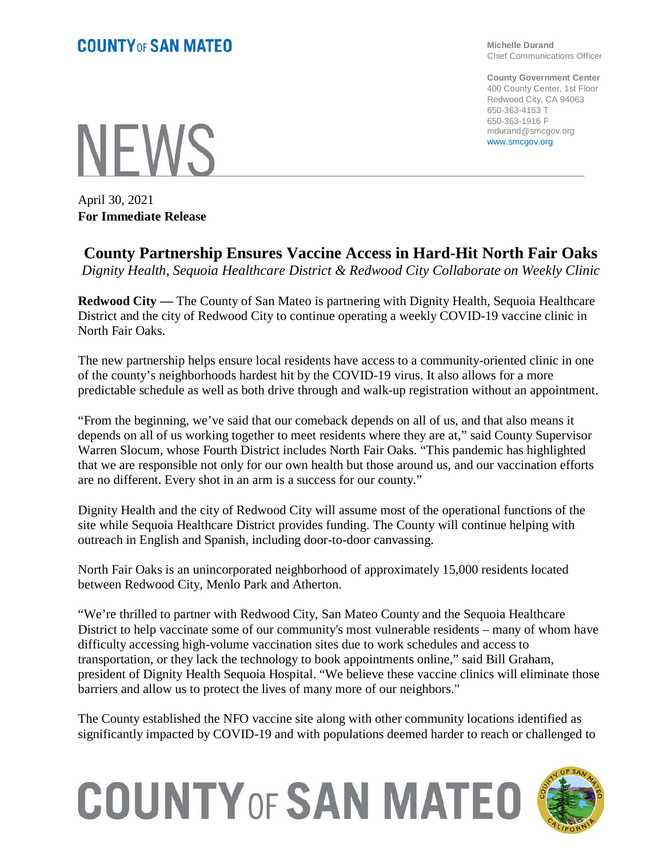**Michelle Durand** Chief Communications Officer

**County Government Center** 400 County Center, 1st Floor Redwood City, CA 94063 650-363-4153 T 650-363-1916 F mdurand@smcgov.org www.smcgov.org

**NEWS** 

April 30, 2021 **For Immediate Release**

## **County Partnership Ensures Vaccine Access in Hard-Hit North Fair Oaks**

*Dignity Health, Sequoia Healthcare District & Redwood City Collaborate on Weekly Clinic*

**Redwood City —** The County of San Mateo is partnering with Dignity Health, Sequoia Healthcare District and the city of Redwood City to continue operating a weekly COVID-19 vaccine clinic in North Fair Oaks.

The new partnership helps ensure local residents have access to a community-oriented clinic in one of the county's neighborhoods hardest hit by the COVID-19 virus. It also allows for a more predictable schedule as well as both drive through and walk-up registration without an appointment.

"From the beginning, we've said that our comeback depends on all of us, and that also means it depends on all of us working together to meet residents where they are at," said County Supervisor Warren Slocum, whose Fourth District includes North Fair Oaks. "This pandemic has highlighted that we are responsible not only for our own health but those around us, and our vaccination efforts are no different. Every shot in an arm is a success for our county."

Dignity Health and the city of Redwood City will assume most of the operational functions of the site while Sequoia Healthcare District provides funding. The County will continue helping with outreach in English and Spanish, including door-to-door canvassing.

North Fair Oaks is an unincorporated neighborhood of approximately 15,000 residents located between Redwood City, Menlo Park and Atherton.

"We're thrilled to partner with Redwood City, San Mateo County and the Sequoia Healthcare District to help vaccinate some of our community's most vulnerable residents – many of whom have difficulty accessing high-volume vaccination sites due to work schedules and access to transportation, or they lack the technology to book appointments online," said Bill Graham, president of Dignity Health Sequoia Hospital. "We believe these vaccine clinics will eliminate those barriers and allow us to protect the lives of many more of our neighbors."

The County established the NFO vaccine site along with other community locations identified as significantly impacted by COVID-19 and with populations deemed harder to reach or challenged to

## **COUNTY OF SAN MATEO**